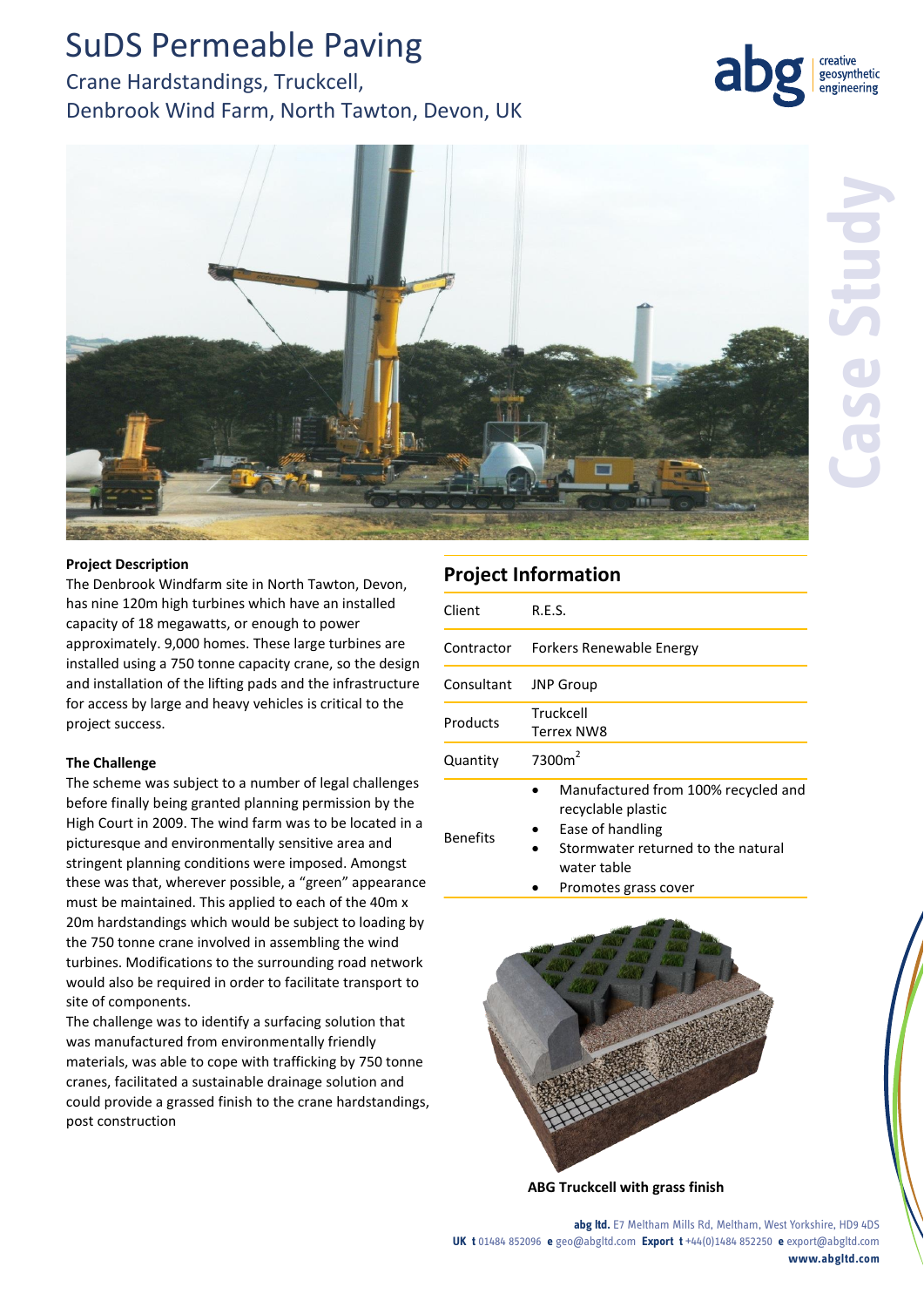## SuDS Permeable Paving

## Crane Hardstandings, Truckcell, Denbrook Wind Farm, North Tawton, Devon, UK





### **Project Description**

The Denbrook Windfarm site in North Tawton, Devon, has nine 120m high turbines which have an installed capacity of 18 megawatts, or enough to power approximately. 9,000 homes. These large turbines are installed using a 750 tonne capacity crane, so the design and installation of the lifting pads and the infrastructure for access by large and heavy vehicles is critical to the project success.

### **The Challenge**

The scheme was subject to a number of legal challenges before finally being granted planning permission by the High Court in 2009. The wind farm was to be located in a picturesque and environmentally sensitive area and stringent planning conditions were imposed. Amongst these was that, wherever possible, a "green" appearance must be maintained. This applied to each of the 40m x 20m hardstandings which would be subject to loading by the 750 tonne crane involved in assembling the wind turbines. Modifications to the surrounding road network would also be required in order to facilitate transport to site of components.

The challenge was to identify a surfacing solution that was manufactured from environmentally friendly materials, was able to cope with trafficking by 750 tonne cranes, facilitated a sustainable drainage solution and could provide a grassed finish to the crane hardstandings, post construction

## **Project Information**

| Client          | R.E.S.                                                                                                              |
|-----------------|---------------------------------------------------------------------------------------------------------------------|
| Contractor      | Forkers Renewable Energy                                                                                            |
| Consultant      | <b>JNP</b> Group                                                                                                    |
| Products        | Truckcell<br><b>Terrex NW8</b>                                                                                      |
| Quantity        | 7300m <sup>2</sup>                                                                                                  |
| <b>Benefits</b> | Manufactured from 100% recycled and<br>recyclable plastic<br>Ease of handling<br>Stormwater returned to the natural |

- mwater returned to the natural water table
	- Promotes grass cover



**ABG Truckcell with grass finish**

**abg ltd.** E7 Meltham Mills Rd, Meltham, West Yorkshire, HD9 4DS **UK t** 01484 852096 **e** geo@abgltd.com **Export t** +44(0)1484 852250 **e** export@abgltd.com **www.abgltd.com**